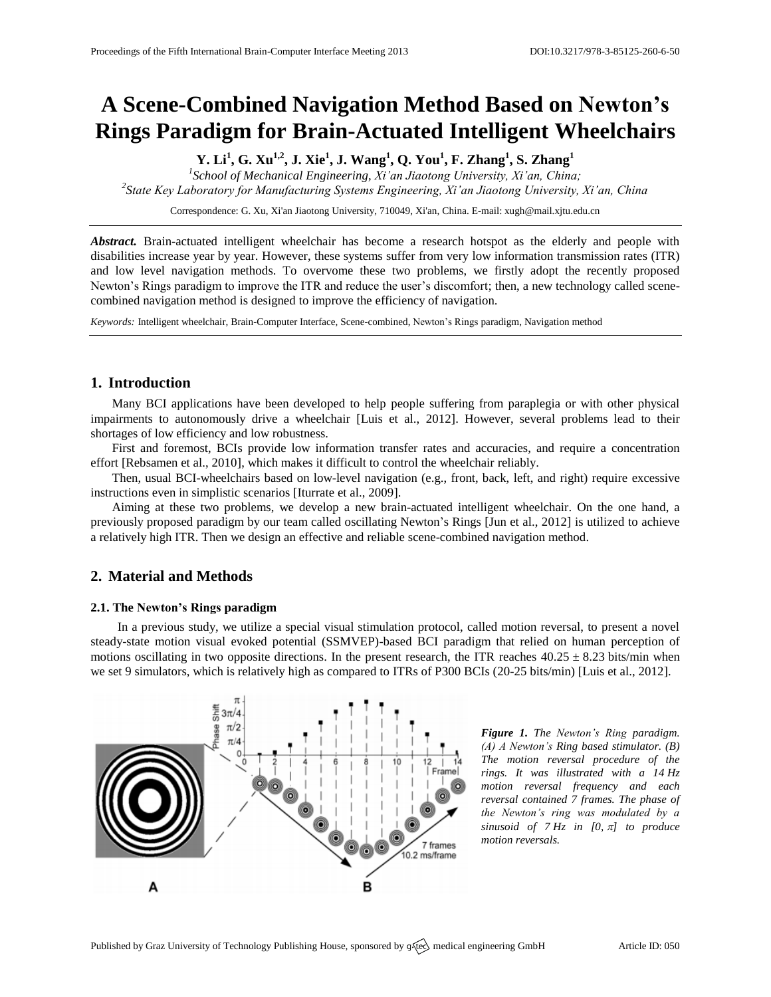# **A Scene-Combined Navigation Method Based on Newton's Rings Paradigm for Brain-Actuated Intelligent Wheelchairs**

**Y. Li<sup>1</sup> , G. Xu1,2 , J. Xie<sup>1</sup> , J. Wang<sup>1</sup> , Q. You<sup>1</sup> , F. Zhang<sup>1</sup> , S. Zhang<sup>1</sup>**

*1 School of Mechanical Engineering, Xi'an Jiaotong University, Xi'an, China; 2 State Key Laboratory for Manufacturing Systems Engineering, Xi'an Jiaotong University, Xi'an, China*

Correspondence: G. Xu, Xi'an Jiaotong University, 710049, Xi'an, China. E-mail: [xugh@mail.xjtu.edu.cn](mailto:xugh@mail.xjtu.edu.cn)

*Abstract.* Brain-actuated intelligent wheelchair has become a research hotspot as the elderly and people with disabilities increase year by year. However, these systems suffer from very low information transmission rates (ITR) and low level navigation methods. To overvome these two problems, we firstly adopt the recently proposed Newton's Rings paradigm to improve the ITR and reduce the user's discomfort; then, a new technology called scenecombined navigation method is designed to improve the efficiency of navigation.

*Keywords:* Intelligent wheelchair, Brain-Computer Interface, Scene-combined, Newton's Rings paradigm, Navigation method

# **1. Introduction**

Many BCI applications have been developed to help people suffering from paraplegia or with other physical impairments to autonomously drive a wheelchair [Luis et al., 2012]. However, several problems lead to their shortages of low efficiency and low robustness.

First and foremost, BCIs provide low information transfer rates and accuracies, and require a concentration effort [Rebsamen et al., 2010], which makes it difficult to control the wheelchair reliably.

Then, usual BCI-wheelchairs based on low-level navigation (e.g., front, back, left, and right) require excessive instructions even in simplistic scenarios [Iturrate et al., 2009].

Aiming at these two problems, we develop a new brain-actuated intelligent wheelchair. On the one hand, a previously proposed paradigm by our team called oscillating Newton's Rings [Jun et al., 2012] is utilized to achieve a relatively high ITR. Then we design an effective and reliable scene-combined navigation method.

# **2. Material and Methods**

### **2.1. The Newton's Rings paradigm**

In a previous study, we utilize a special visual stimulation protocol, called motion reversal, to present a novel steady-state motion visual evoked potential (SSMVEP)-based BCI paradigm that relied on human perception of motions oscillating in two opposite directions. In the present research, the ITR reaches  $40.25 \pm 8.23$  bits/min when we set 9 simulators, which is relatively high as compared to ITRs of P300 BCIs (20-25 bits/min) [Luis et al., 2012].



*Figure 1. The Newton's Ring paradigm. (A) A Newton's Ring based stimulator. (B) The motion reversal procedure of the rings. It was illustrated with a 14 Hz motion reversal frequency and each reversal contained 7 frames. The phase of the Newton's ring was modulated by a sinusoid of*  $7 Hz$  *in [0,*  $\pi$ *] to produce motion reversals.*